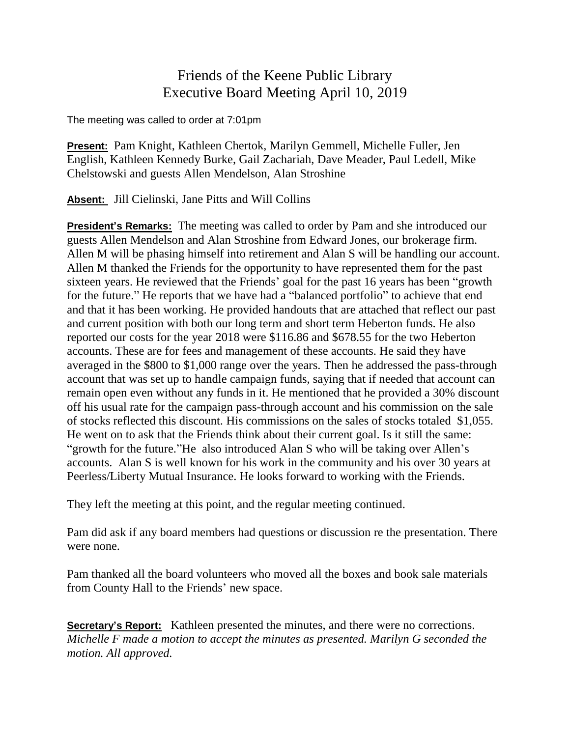## Friends of the Keene Public Library Executive Board Meeting April 10, 2019

The meeting was called to order at 7:01pm

**Present:** Pam Knight, Kathleen Chertok, Marilyn Gemmell, Michelle Fuller, Jen English, Kathleen Kennedy Burke, Gail Zachariah, Dave Meader, Paul Ledell, Mike Chelstowski and guests Allen Mendelson, Alan Stroshine

**Absent:** Jill Cielinski, Jane Pitts and Will Collins

**President's Remarks:** The meeting was called to order by Pam and she introduced our guests Allen Mendelson and Alan Stroshine from Edward Jones, our brokerage firm. Allen M will be phasing himself into retirement and Alan S will be handling our account. Allen M thanked the Friends for the opportunity to have represented them for the past sixteen years. He reviewed that the Friends' goal for the past 16 years has been "growth for the future." He reports that we have had a "balanced portfolio" to achieve that end and that it has been working. He provided handouts that are attached that reflect our past and current position with both our long term and short term Heberton funds. He also reported our costs for the year 2018 were \$116.86 and \$678.55 for the two Heberton accounts. These are for fees and management of these accounts. He said they have averaged in the \$800 to \$1,000 range over the years. Then he addressed the pass-through account that was set up to handle campaign funds, saying that if needed that account can remain open even without any funds in it. He mentioned that he provided a 30% discount off his usual rate for the campaign pass-through account and his commission on the sale of stocks reflected this discount. His commissions on the sales of stocks totaled \$1,055. He went on to ask that the Friends think about their current goal. Is it still the same: "growth for the future."He also introduced Alan S who will be taking over Allen's accounts. Alan S is well known for his work in the community and his over 30 years at Peerless/Liberty Mutual Insurance. He looks forward to working with the Friends.

They left the meeting at this point, and the regular meeting continued.

Pam did ask if any board members had questions or discussion re the presentation. There were none.

Pam thanked all the board volunteers who moved all the boxes and book sale materials from County Hall to the Friends' new space.

**Secretary's Report:** Kathleen presented the minutes, and there were no corrections. *Michelle F made a motion to accept the minutes as presented. Marilyn G seconded the motion. All approved.*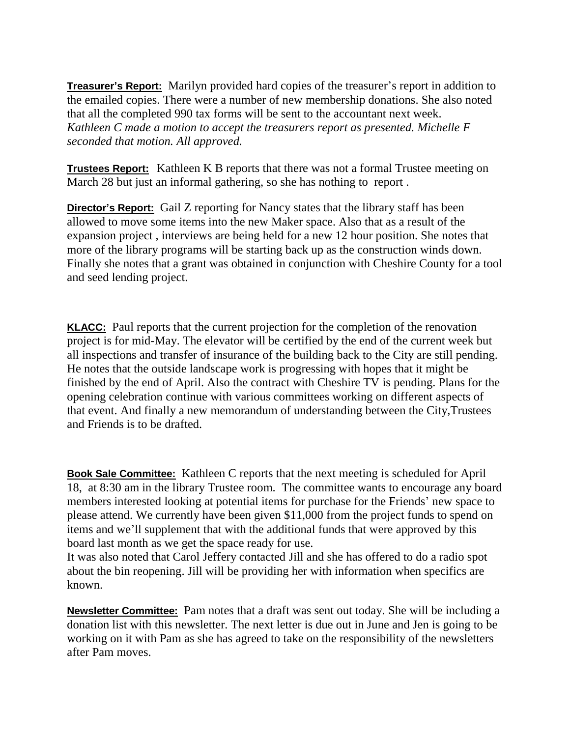**Treasurer's Report:** Marilyn provided hard copies of the treasurer's report in addition to the emailed copies. There were a number of new membership donations. She also noted that all the completed 990 tax forms will be sent to the accountant next week. *Kathleen C made a motion to accept the treasurers report as presented. Michelle F seconded that motion. All approved.*

**Trustees Report:** Kathleen K B reports that there was not a formal Trustee meeting on March 28 but just an informal gathering, so she has nothing to report .

**Director's Report:** Gail Z reporting for Nancy states that the library staff has been allowed to move some items into the new Maker space. Also that as a result of the expansion project , interviews are being held for a new 12 hour position. She notes that more of the library programs will be starting back up as the construction winds down. Finally she notes that a grant was obtained in conjunction with Cheshire County for a tool and seed lending project.

**KLACC:** Paul reports that the current projection for the completion of the renovation project is for mid-May. The elevator will be certified by the end of the current week but all inspections and transfer of insurance of the building back to the City are still pending. He notes that the outside landscape work is progressing with hopes that it might be finished by the end of April. Also the contract with Cheshire TV is pending. Plans for the opening celebration continue with various committees working on different aspects of that event. And finally a new memorandum of understanding between the City,Trustees and Friends is to be drafted.

**Book Sale Committee:** Kathleen C reports that the next meeting is scheduled for April 18, at 8:30 am in the library Trustee room. The committee wants to encourage any board members interested looking at potential items for purchase for the Friends' new space to please attend. We currently have been given \$11,000 from the project funds to spend on items and we'll supplement that with the additional funds that were approved by this board last month as we get the space ready for use.

It was also noted that Carol Jeffery contacted Jill and she has offered to do a radio spot about the bin reopening. Jill will be providing her with information when specifics are known.

**Newsletter Committee:** Pam notes that a draft was sent out today. She will be including a donation list with this newsletter. The next letter is due out in June and Jen is going to be working on it with Pam as she has agreed to take on the responsibility of the newsletters after Pam moves.